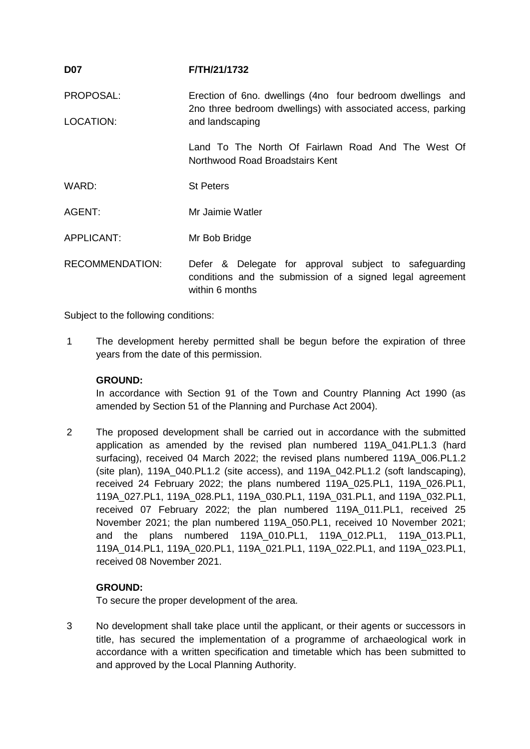| <b>D07</b>             | F/TH/21/1732                                                                                                                          |
|------------------------|---------------------------------------------------------------------------------------------------------------------------------------|
| PROPOSAL:              | Erection of 6no. dwellings (4no four bedroom dwellings and<br>2no three bedroom dwellings) with associated access, parking            |
| LOCATION:              | and landscaping                                                                                                                       |
|                        | Land To The North Of Fairlawn Road And The West Of<br>Northwood Road Broadstairs Kent                                                 |
| WARD:                  | <b>St Peters</b>                                                                                                                      |
| AGENT:                 | Mr Jaimie Watler                                                                                                                      |
| APPLICANT:             | Mr Bob Bridge                                                                                                                         |
| <b>RECOMMENDATION:</b> | Defer & Delegate for approval subject to safeguarding<br>conditions and the submission of a signed legal agreement<br>within 6 months |

Subject to the following conditions:

1 The development hereby permitted shall be begun before the expiration of three years from the date of this permission.

# **GROUND:**

In accordance with Section 91 of the Town and Country Planning Act 1990 (as amended by Section 51 of the Planning and Purchase Act 2004).

2 The proposed development shall be carried out in accordance with the submitted application as amended by the revised plan numbered 119A\_041.PL1.3 (hard surfacing), received 04 March 2022; the revised plans numbered 119A\_006.PL1.2 (site plan), 119A\_040.PL1.2 (site access), and 119A\_042.PL1.2 (soft landscaping), received 24 February 2022; the plans numbered 119A\_025.PL1, 119A\_026.PL1, 119A\_027.PL1, 119A\_028.PL1, 119A\_030.PL1, 119A\_031.PL1, and 119A\_032.PL1, received 07 February 2022; the plan numbered 119A\_011.PL1, received 25 November 2021; the plan numbered 119A\_050.PL1, received 10 November 2021; and the plans numbered 119A\_010.PL1, 119A\_012.PL1, 119A\_013.PL1, 119A\_014.PL1, 119A\_020.PL1, 119A\_021.PL1, 119A\_022.PL1, and 119A\_023.PL1, received 08 November 2021.

# **GROUND:**

To secure the proper development of the area.

3 No development shall take place until the applicant, or their agents or successors in title, has secured the implementation of a programme of archaeological work in accordance with a written specification and timetable which has been submitted to and approved by the Local Planning Authority.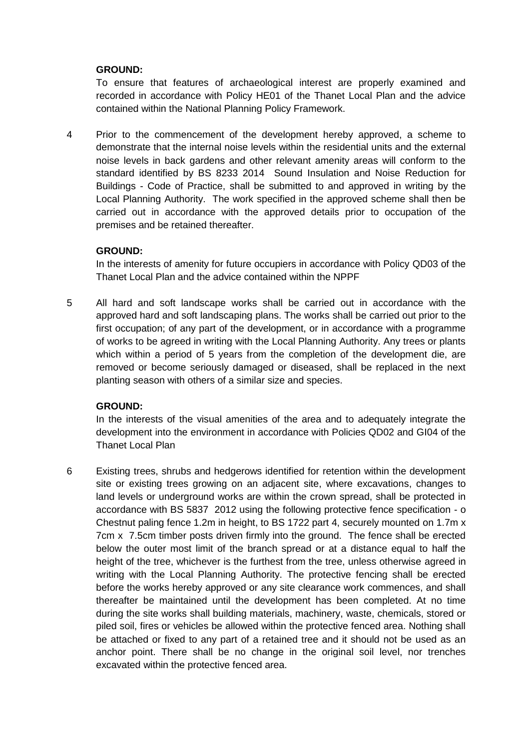### **GROUND:**

To ensure that features of archaeological interest are properly examined and recorded in accordance with Policy HE01 of the Thanet Local Plan and the advice contained within the National Planning Policy Framework.

4 Prior to the commencement of the development hereby approved, a scheme to demonstrate that the internal noise levels within the residential units and the external noise levels in back gardens and other relevant amenity areas will conform to the standard identified by BS 8233 2014 Sound Insulation and Noise Reduction for Buildings - Code of Practice, shall be submitted to and approved in writing by the Local Planning Authority. The work specified in the approved scheme shall then be carried out in accordance with the approved details prior to occupation of the premises and be retained thereafter.

#### **GROUND:**

In the interests of amenity for future occupiers in accordance with Policy QD03 of the Thanet Local Plan and the advice contained within the NPPF

5 All hard and soft landscape works shall be carried out in accordance with the approved hard and soft landscaping plans. The works shall be carried out prior to the first occupation; of any part of the development, or in accordance with a programme of works to be agreed in writing with the Local Planning Authority. Any trees or plants which within a period of 5 years from the completion of the development die, are removed or become seriously damaged or diseased, shall be replaced in the next planting season with others of a similar size and species.

# **GROUND:**

In the interests of the visual amenities of the area and to adequately integrate the development into the environment in accordance with Policies QD02 and GI04 of the Thanet Local Plan

6 Existing trees, shrubs and hedgerows identified for retention within the development site or existing trees growing on an adjacent site, where excavations, changes to land levels or underground works are within the crown spread, shall be protected in accordance with BS 5837 2012 using the following protective fence specification - o Chestnut paling fence 1.2m in height, to BS 1722 part 4, securely mounted on 1.7m x 7cm x 7.5cm timber posts driven firmly into the ground. The fence shall be erected below the outer most limit of the branch spread or at a distance equal to half the height of the tree, whichever is the furthest from the tree, unless otherwise agreed in writing with the Local Planning Authority. The protective fencing shall be erected before the works hereby approved or any site clearance work commences, and shall thereafter be maintained until the development has been completed. At no time during the site works shall building materials, machinery, waste, chemicals, stored or piled soil, fires or vehicles be allowed within the protective fenced area. Nothing shall be attached or fixed to any part of a retained tree and it should not be used as an anchor point. There shall be no change in the original soil level, nor trenches excavated within the protective fenced area.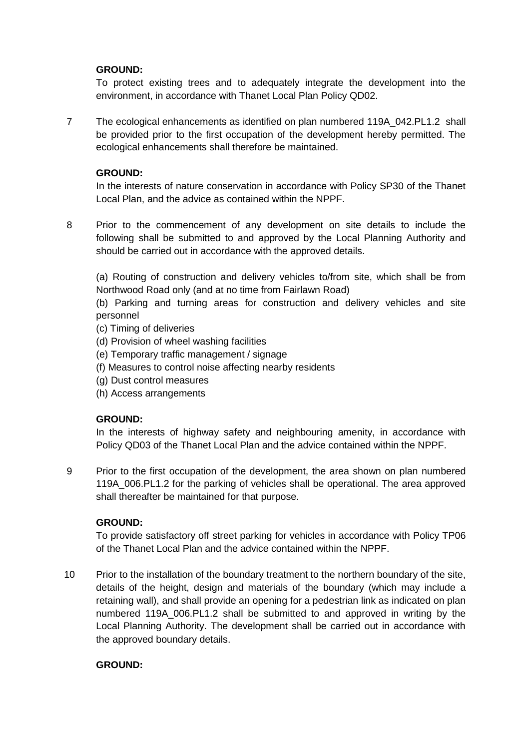# **GROUND:**

To protect existing trees and to adequately integrate the development into the environment, in accordance with Thanet Local Plan Policy QD02.

7 The ecological enhancements as identified on plan numbered 119A\_042.PL1.2 shall be provided prior to the first occupation of the development hereby permitted. The ecological enhancements shall therefore be maintained.

# **GROUND:**

In the interests of nature conservation in accordance with Policy SP30 of the Thanet Local Plan, and the advice as contained within the NPPF.

8 Prior to the commencement of any development on site details to include the following shall be submitted to and approved by the Local Planning Authority and should be carried out in accordance with the approved details.

(a) Routing of construction and delivery vehicles to/from site, which shall be from Northwood Road only (and at no time from Fairlawn Road)

(b) Parking and turning areas for construction and delivery vehicles and site personnel

- (c) Timing of deliveries
- (d) Provision of wheel washing facilities
- (e) Temporary traffic management / signage
- (f) Measures to control noise affecting nearby residents
- (g) Dust control measures
- (h) Access arrangements

# **GROUND:**

In the interests of highway safety and neighbouring amenity, in accordance with Policy QD03 of the Thanet Local Plan and the advice contained within the NPPF.

9 Prior to the first occupation of the development, the area shown on plan numbered 119A\_006.PL1.2 for the parking of vehicles shall be operational. The area approved shall thereafter be maintained for that purpose.

# **GROUND:**

To provide satisfactory off street parking for vehicles in accordance with Policy TP06 of the Thanet Local Plan and the advice contained within the NPPF.

10 Prior to the installation of the boundary treatment to the northern boundary of the site, details of the height, design and materials of the boundary (which may include a retaining wall), and shall provide an opening for a pedestrian link as indicated on plan numbered 119A\_006.PL1.2 shall be submitted to and approved in writing by the Local Planning Authority. The development shall be carried out in accordance with the approved boundary details.

# **GROUND:**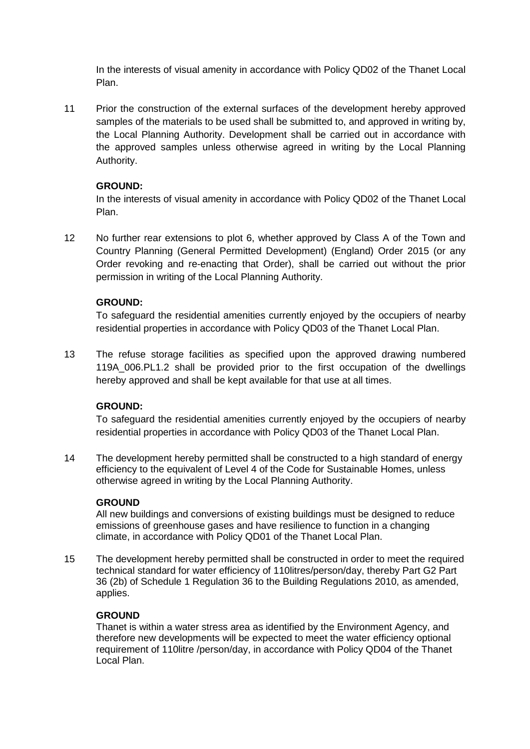In the interests of visual amenity in accordance with Policy QD02 of the Thanet Local Plan.

11 Prior the construction of the external surfaces of the development hereby approved samples of the materials to be used shall be submitted to, and approved in writing by, the Local Planning Authority. Development shall be carried out in accordance with the approved samples unless otherwise agreed in writing by the Local Planning Authority.

# **GROUND:**

In the interests of visual amenity in accordance with Policy QD02 of the Thanet Local Plan.

12 No further rear extensions to plot 6, whether approved by Class A of the Town and Country Planning (General Permitted Development) (England) Order 2015 (or any Order revoking and re-enacting that Order), shall be carried out without the prior permission in writing of the Local Planning Authority.

# **GROUND:**

To safeguard the residential amenities currently enjoyed by the occupiers of nearby residential properties in accordance with Policy QD03 of the Thanet Local Plan.

13 The refuse storage facilities as specified upon the approved drawing numbered 119A\_006.PL1.2 shall be provided prior to the first occupation of the dwellings hereby approved and shall be kept available for that use at all times.

# **GROUND:**

To safeguard the residential amenities currently enjoyed by the occupiers of nearby residential properties in accordance with Policy QD03 of the Thanet Local Plan.

14 The development hereby permitted shall be constructed to a high standard of energy efficiency to the equivalent of Level 4 of the Code for Sustainable Homes, unless otherwise agreed in writing by the Local Planning Authority.

# **GROUND**

All new buildings and conversions of existing buildings must be designed to reduce emissions of greenhouse gases and have resilience to function in a changing climate, in accordance with Policy QD01 of the Thanet Local Plan.

15 The development hereby permitted shall be constructed in order to meet the required technical standard for water efficiency of 110litres/person/day, thereby Part G2 Part 36 (2b) of Schedule 1 Regulation 36 to the Building Regulations 2010, as amended, applies.

# **GROUND**

Thanet is within a water stress area as identified by the Environment Agency, and therefore new developments will be expected to meet the water efficiency optional requirement of 110litre /person/day, in accordance with Policy QD04 of the Thanet Local Plan.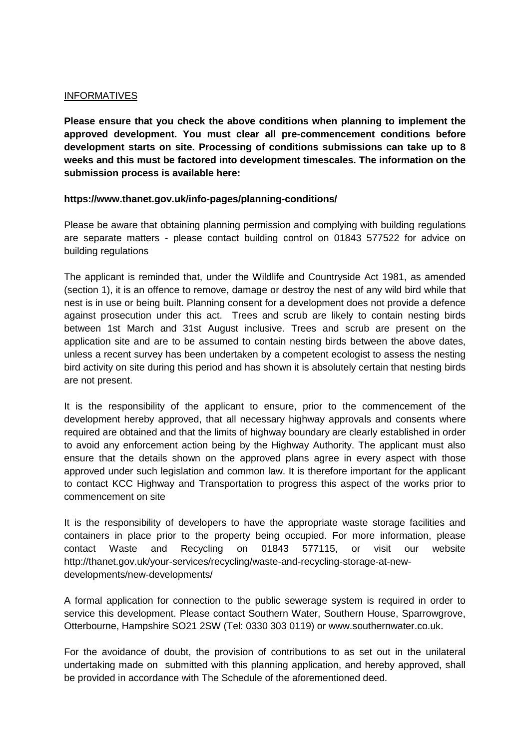#### INFORMATIVES

**Please ensure that you check the above conditions when planning to implement the approved development. You must clear all pre-commencement conditions before development starts on site. Processing of conditions submissions can take up to 8 weeks and this must be factored into development timescales. The information on the submission process is available here:** 

# **https://www.thanet.gov.uk/info-pages/planning-conditions/**

Please be aware that obtaining planning permission and complying with building regulations are separate matters - please contact building control on 01843 577522 for advice on building regulations

The applicant is reminded that, under the Wildlife and Countryside Act 1981, as amended (section 1), it is an offence to remove, damage or destroy the nest of any wild bird while that nest is in use or being built. Planning consent for a development does not provide a defence against prosecution under this act. Trees and scrub are likely to contain nesting birds between 1st March and 31st August inclusive. Trees and scrub are present on the application site and are to be assumed to contain nesting birds between the above dates, unless a recent survey has been undertaken by a competent ecologist to assess the nesting bird activity on site during this period and has shown it is absolutely certain that nesting birds are not present.

It is the responsibility of the applicant to ensure, prior to the commencement of the development hereby approved, that all necessary highway approvals and consents where required are obtained and that the limits of highway boundary are clearly established in order to avoid any enforcement action being by the Highway Authority. The applicant must also ensure that the details shown on the approved plans agree in every aspect with those approved under such legislation and common law. It is therefore important for the applicant to contact KCC Highway and Transportation to progress this aspect of the works prior to commencement on site

It is the responsibility of developers to have the appropriate waste storage facilities and containers in place prior to the property being occupied. For more information, please contact Waste and Recycling on 01843 577115, or visit our website http://thanet.gov.uk/your-services/recycling/waste-and-recycling-storage-at-newdevelopments/new-developments/

A formal application for connection to the public sewerage system is required in order to service this development. Please contact Southern Water, Southern House, Sparrowgrove, Otterbourne, Hampshire SO21 2SW (Tel: 0330 303 0119) or www.southernwater.co.uk.

For the avoidance of doubt, the provision of contributions to as set out in the unilateral undertaking made on submitted with this planning application, and hereby approved, shall be provided in accordance with The Schedule of the aforementioned deed.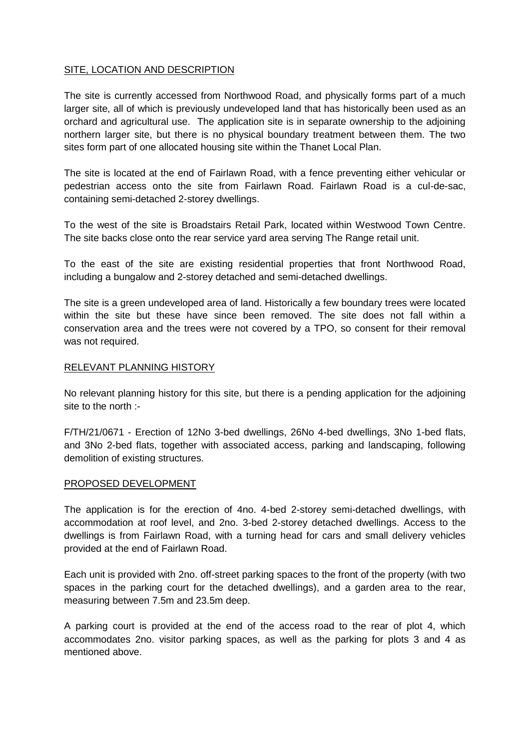# SITE, LOCATION AND DESCRIPTION

The site is currently accessed from Northwood Road, and physically forms part of a much larger site, all of which is previously undeveloped land that has historically been used as an orchard and agricultural use. The application site is in separate ownership to the adjoining northern larger site, but there is no physical boundary treatment between them. The two sites form part of one allocated housing site within the Thanet Local Plan.

The site is located at the end of Fairlawn Road, with a fence preventing either vehicular or pedestrian access onto the site from Fairlawn Road. Fairlawn Road is a cul-de-sac, containing semi-detached 2-storey dwellings.

To the west of the site is Broadstairs Retail Park, located within Westwood Town Centre. The site backs close onto the rear service yard area serving The Range retail unit.

To the east of the site are existing residential properties that front Northwood Road, including a bungalow and 2-storey detached and semi-detached dwellings.

The site is a green undeveloped area of land. Historically a few boundary trees were located within the site but these have since been removed. The site does not fall within a conservation area and the trees were not covered by a TPO, so consent for their removal was not required.

#### RELEVANT PLANNING HISTORY

No relevant planning history for this site, but there is a pending application for the adjoining site to the north :-

F/TH/21/0671 - Erection of 12No 3-bed dwellings, 26No 4-bed dwellings, 3No 1-bed flats, and 3No 2-bed flats, together with associated access, parking and landscaping, following demolition of existing structures.

#### PROPOSED DEVELOPMENT

The application is for the erection of 4no. 4-bed 2-storey semi-detached dwellings, with accommodation at roof level, and 2no. 3-bed 2-storey detached dwellings. Access to the dwellings is from Fairlawn Road, with a turning head for cars and small delivery vehicles provided at the end of Fairlawn Road.

Each unit is provided with 2no. off-street parking spaces to the front of the property (with two spaces in the parking court for the detached dwellings), and a garden area to the rear, measuring between 7.5m and 23.5m deep.

A parking court is provided at the end of the access road to the rear of plot 4, which accommodates 2no. visitor parking spaces, as well as the parking for plots 3 and 4 as mentioned above.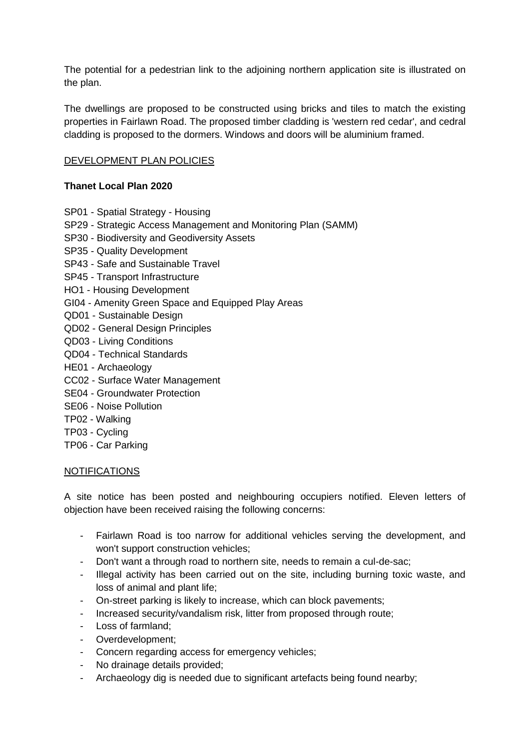The potential for a pedestrian link to the adjoining northern application site is illustrated on the plan.

The dwellings are proposed to be constructed using bricks and tiles to match the existing properties in Fairlawn Road. The proposed timber cladding is 'western red cedar', and cedral cladding is proposed to the dormers. Windows and doors will be aluminium framed.

# DEVELOPMENT PLAN POLICIES

# **Thanet Local Plan 2020**

- SP01 Spatial Strategy Housing
- SP29 Strategic Access Management and Monitoring Plan (SAMM)
- SP30 Biodiversity and Geodiversity Assets
- SP35 Quality Development
- SP43 Safe and Sustainable Travel
- SP45 Transport Infrastructure
- HO1 Housing Development
- GI04 Amenity Green Space and Equipped Play Areas
- QD01 Sustainable Design
- QD02 General Design Principles
- QD03 Living Conditions
- QD04 Technical Standards
- HE01 Archaeology
- CC02 Surface Water Management
- SE04 Groundwater Protection
- SE06 Noise Pollution
- TP02 Walking
- TP03 Cycling
- TP06 Car Parking

# **NOTIFICATIONS**

A site notice has been posted and neighbouring occupiers notified. Eleven letters of objection have been received raising the following concerns:

- Fairlawn Road is too narrow for additional vehicles serving the development, and won't support construction vehicles;
- Don't want a through road to northern site, needs to remain a cul-de-sac;
- Illegal activity has been carried out on the site, including burning toxic waste, and loss of animal and plant life;
- On-street parking is likely to increase, which can block pavements;
- Increased security/vandalism risk, litter from proposed through route;
- Loss of farmland;
- Overdevelopment;
- Concern regarding access for emergency vehicles;
- No drainage details provided;
- Archaeology dig is needed due to significant artefacts being found nearby;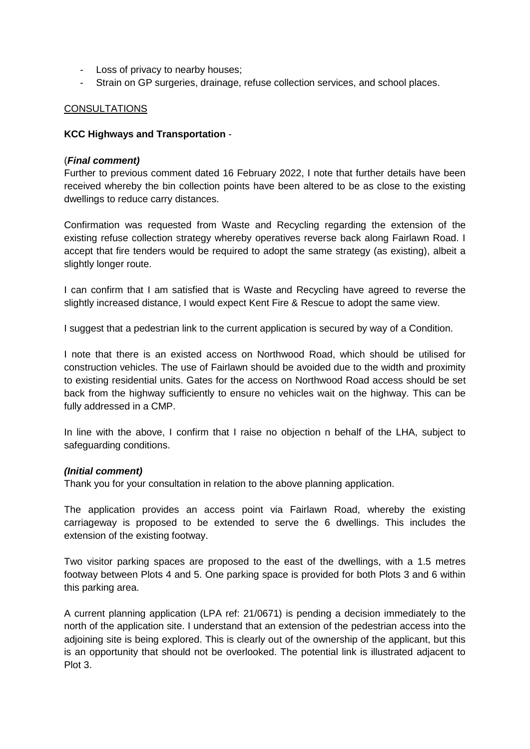- Loss of privacy to nearby houses;
- Strain on GP surgeries, drainage, refuse collection services, and school places.

# **CONSULTATIONS**

### **KCC Highways and Transportation** -

#### (*Final comment)*

Further to previous comment dated 16 February 2022, I note that further details have been received whereby the bin collection points have been altered to be as close to the existing dwellings to reduce carry distances.

Confirmation was requested from Waste and Recycling regarding the extension of the existing refuse collection strategy whereby operatives reverse back along Fairlawn Road. I accept that fire tenders would be required to adopt the same strategy (as existing), albeit a slightly longer route.

I can confirm that I am satisfied that is Waste and Recycling have agreed to reverse the slightly increased distance, I would expect Kent Fire & Rescue to adopt the same view.

I suggest that a pedestrian link to the current application is secured by way of a Condition.

I note that there is an existed access on Northwood Road, which should be utilised for construction vehicles. The use of Fairlawn should be avoided due to the width and proximity to existing residential units. Gates for the access on Northwood Road access should be set back from the highway sufficiently to ensure no vehicles wait on the highway. This can be fully addressed in a CMP.

In line with the above, I confirm that I raise no objection n behalf of the LHA, subject to safeguarding conditions.

# *(Initial comment)*

Thank you for your consultation in relation to the above planning application.

The application provides an access point via Fairlawn Road, whereby the existing carriageway is proposed to be extended to serve the 6 dwellings. This includes the extension of the existing footway.

Two visitor parking spaces are proposed to the east of the dwellings, with a 1.5 metres footway between Plots 4 and 5. One parking space is provided for both Plots 3 and 6 within this parking area.

A current planning application (LPA ref: 21/0671) is pending a decision immediately to the north of the application site. I understand that an extension of the pedestrian access into the adjoining site is being explored. This is clearly out of the ownership of the applicant, but this is an opportunity that should not be overlooked. The potential link is illustrated adjacent to Plot 3.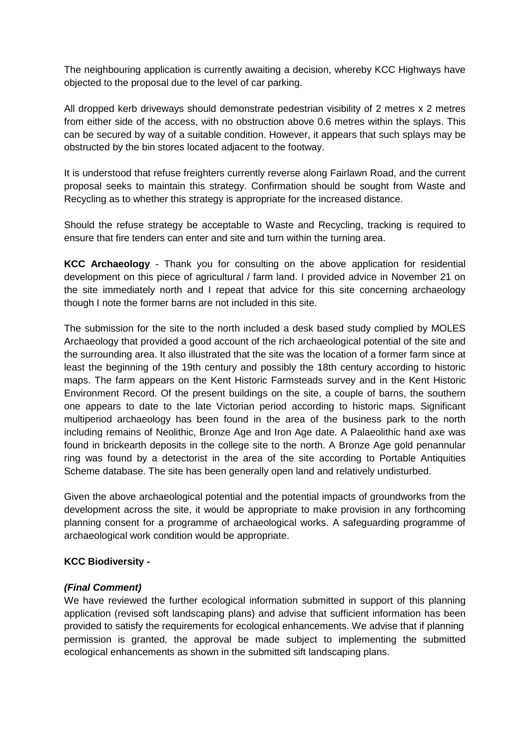The neighbouring application is currently awaiting a decision, whereby KCC Highways have objected to the proposal due to the level of car parking.

All dropped kerb driveways should demonstrate pedestrian visibility of 2 metres x 2 metres from either side of the access, with no obstruction above 0.6 metres within the splays. This can be secured by way of a suitable condition. However, it appears that such splays may be obstructed by the bin stores located adjacent to the footway.

It is understood that refuse freighters currently reverse along Fairlawn Road, and the current proposal seeks to maintain this strategy. Confirmation should be sought from Waste and Recycling as to whether this strategy is appropriate for the increased distance.

Should the refuse strategy be acceptable to Waste and Recycling, tracking is required to ensure that fire tenders can enter and site and turn within the turning area.

**KCC Archaeology** - Thank you for consulting on the above application for residential development on this piece of agricultural / farm land. I provided advice in November 21 on the site immediately north and I repeat that advice for this site concerning archaeology though I note the former barns are not included in this site.

The submission for the site to the north included a desk based study complied by MOLES Archaeology that provided a good account of the rich archaeological potential of the site and the surrounding area. It also illustrated that the site was the location of a former farm since at least the beginning of the 19th century and possibly the 18th century according to historic maps. The farm appears on the Kent Historic Farmsteads survey and in the Kent Historic Environment Record. Of the present buildings on the site, a couple of barns, the southern one appears to date to the late Victorian period according to historic maps. Significant multiperiod archaeology has been found in the area of the business park to the north including remains of Neolithic, Bronze Age and Iron Age date. A Palaeolithic hand axe was found in brickearth deposits in the college site to the north. A Bronze Age gold penannular ring was found by a detectorist in the area of the site according to Portable Antiquities Scheme database. The site has been generally open land and relatively undisturbed.

Given the above archaeological potential and the potential impacts of groundworks from the development across the site, it would be appropriate to make provision in any forthcoming planning consent for a programme of archaeological works. A safeguarding programme of archaeological work condition would be appropriate.

# **KCC Biodiversity -**

# *(Final Comment)*

We have reviewed the further ecological information submitted in support of this planning application (revised soft landscaping plans) and advise that sufficient information has been provided to satisfy the requirements for ecological enhancements. We advise that if planning permission is granted, the approval be made subject to implementing the submitted ecological enhancements as shown in the submitted sift landscaping plans.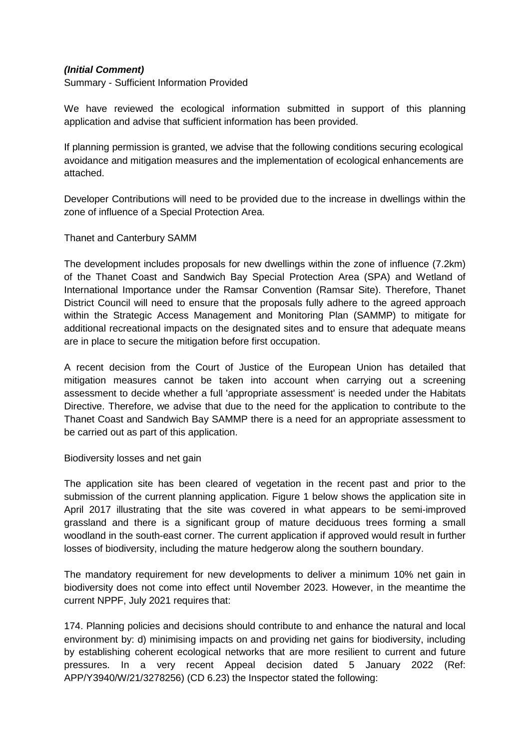# *(Initial Comment)*

Summary - Sufficient Information Provided

We have reviewed the ecological information submitted in support of this planning application and advise that sufficient information has been provided.

If planning permission is granted, we advise that the following conditions securing ecological avoidance and mitigation measures and the implementation of ecological enhancements are attached.

Developer Contributions will need to be provided due to the increase in dwellings within the zone of influence of a Special Protection Area.

# Thanet and Canterbury SAMM

The development includes proposals for new dwellings within the zone of influence (7.2km) of the Thanet Coast and Sandwich Bay Special Protection Area (SPA) and Wetland of International Importance under the Ramsar Convention (Ramsar Site). Therefore, Thanet District Council will need to ensure that the proposals fully adhere to the agreed approach within the Strategic Access Management and Monitoring Plan (SAMMP) to mitigate for additional recreational impacts on the designated sites and to ensure that adequate means are in place to secure the mitigation before first occupation.

A recent decision from the Court of Justice of the European Union has detailed that mitigation measures cannot be taken into account when carrying out a screening assessment to decide whether a full 'appropriate assessment' is needed under the Habitats Directive. Therefore, we advise that due to the need for the application to contribute to the Thanet Coast and Sandwich Bay SAMMP there is a need for an appropriate assessment to be carried out as part of this application.

Biodiversity losses and net gain

The application site has been cleared of vegetation in the recent past and prior to the submission of the current planning application. Figure 1 below shows the application site in April 2017 illustrating that the site was covered in what appears to be semi-improved grassland and there is a significant group of mature deciduous trees forming a small woodland in the south-east corner. The current application if approved would result in further losses of biodiversity, including the mature hedgerow along the southern boundary.

The mandatory requirement for new developments to deliver a minimum 10% net gain in biodiversity does not come into effect until November 2023. However, in the meantime the current NPPF, July 2021 requires that:

174. Planning policies and decisions should contribute to and enhance the natural and local environment by: d) minimising impacts on and providing net gains for biodiversity, including by establishing coherent ecological networks that are more resilient to current and future pressures. In a very recent Appeal decision dated 5 January 2022 (Ref: APP/Y3940/W/21/3278256) (CD 6.23) the Inspector stated the following: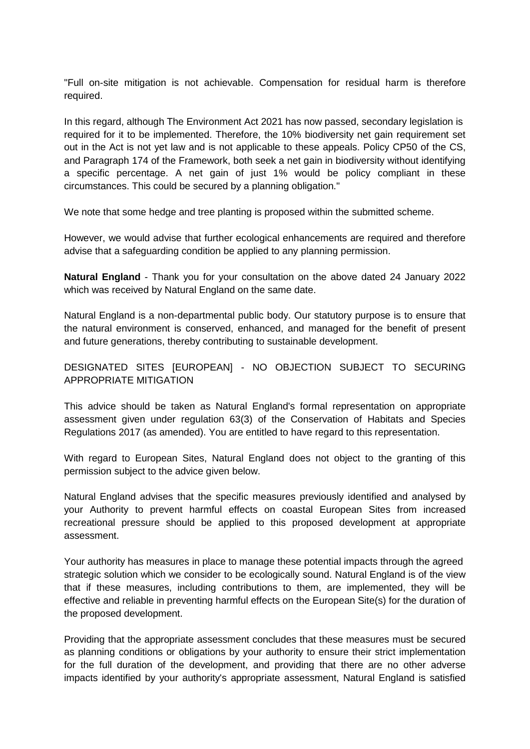"Full on-site mitigation is not achievable. Compensation for residual harm is therefore required.

In this regard, although The Environment Act 2021 has now passed, secondary legislation is required for it to be implemented. Therefore, the 10% biodiversity net gain requirement set out in the Act is not yet law and is not applicable to these appeals. Policy CP50 of the CS, and Paragraph 174 of the Framework, both seek a net gain in biodiversity without identifying a specific percentage. A net gain of just 1% would be policy compliant in these circumstances. This could be secured by a planning obligation."

We note that some hedge and tree planting is proposed within the submitted scheme.

However, we would advise that further ecological enhancements are required and therefore advise that a safeguarding condition be applied to any planning permission.

**Natural England** - Thank you for your consultation on the above dated 24 January 2022 which was received by Natural England on the same date.

Natural England is a non-departmental public body. Our statutory purpose is to ensure that the natural environment is conserved, enhanced, and managed for the benefit of present and future generations, thereby contributing to sustainable development.

# DESIGNATED SITES [EUROPEAN] - NO OBJECTION SUBJECT TO SECURING APPROPRIATE MITIGATION

This advice should be taken as Natural England's formal representation on appropriate assessment given under regulation 63(3) of the Conservation of Habitats and Species Regulations 2017 (as amended). You are entitled to have regard to this representation.

With regard to European Sites, Natural England does not object to the granting of this permission subject to the advice given below.

Natural England advises that the specific measures previously identified and analysed by your Authority to prevent harmful effects on coastal European Sites from increased recreational pressure should be applied to this proposed development at appropriate assessment.

Your authority has measures in place to manage these potential impacts through the agreed strategic solution which we consider to be ecologically sound. Natural England is of the view that if these measures, including contributions to them, are implemented, they will be effective and reliable in preventing harmful effects on the European Site(s) for the duration of the proposed development.

Providing that the appropriate assessment concludes that these measures must be secured as planning conditions or obligations by your authority to ensure their strict implementation for the full duration of the development, and providing that there are no other adverse impacts identified by your authority's appropriate assessment, Natural England is satisfied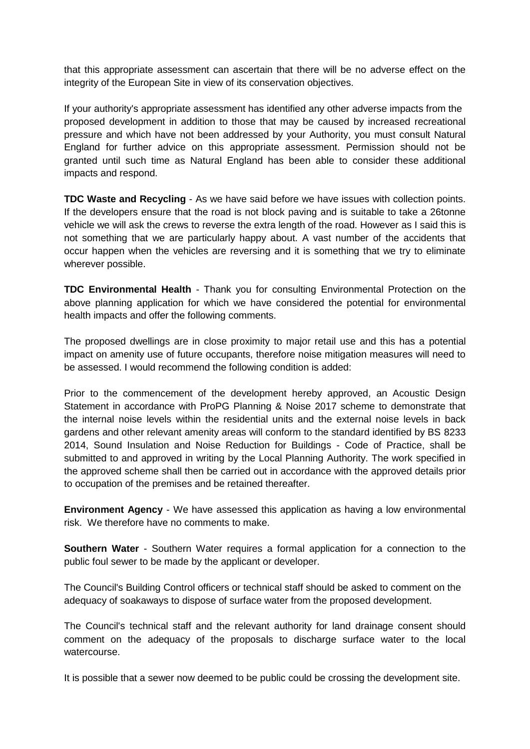that this appropriate assessment can ascertain that there will be no adverse effect on the integrity of the European Site in view of its conservation objectives.

If your authority's appropriate assessment has identified any other adverse impacts from the proposed development in addition to those that may be caused by increased recreational pressure and which have not been addressed by your Authority, you must consult Natural England for further advice on this appropriate assessment. Permission should not be granted until such time as Natural England has been able to consider these additional impacts and respond.

**TDC Waste and Recycling** - As we have said before we have issues with collection points. If the developers ensure that the road is not block paving and is suitable to take a 26tonne vehicle we will ask the crews to reverse the extra length of the road. However as I said this is not something that we are particularly happy about. A vast number of the accidents that occur happen when the vehicles are reversing and it is something that we try to eliminate wherever possible.

**TDC Environmental Health** - Thank you for consulting Environmental Protection on the above planning application for which we have considered the potential for environmental health impacts and offer the following comments.

The proposed dwellings are in close proximity to major retail use and this has a potential impact on amenity use of future occupants, therefore noise mitigation measures will need to be assessed. I would recommend the following condition is added:

Prior to the commencement of the development hereby approved, an Acoustic Design Statement in accordance with ProPG Planning & Noise 2017 scheme to demonstrate that the internal noise levels within the residential units and the external noise levels in back gardens and other relevant amenity areas will conform to the standard identified by BS 8233 2014, Sound Insulation and Noise Reduction for Buildings - Code of Practice, shall be submitted to and approved in writing by the Local Planning Authority. The work specified in the approved scheme shall then be carried out in accordance with the approved details prior to occupation of the premises and be retained thereafter.

**Environment Agency** - We have assessed this application as having a low environmental risk. We therefore have no comments to make.

**Southern Water** - Southern Water requires a formal application for a connection to the public foul sewer to be made by the applicant or developer.

The Council's Building Control officers or technical staff should be asked to comment on the adequacy of soakaways to dispose of surface water from the proposed development.

The Council's technical staff and the relevant authority for land drainage consent should comment on the adequacy of the proposals to discharge surface water to the local watercourse.

It is possible that a sewer now deemed to be public could be crossing the development site.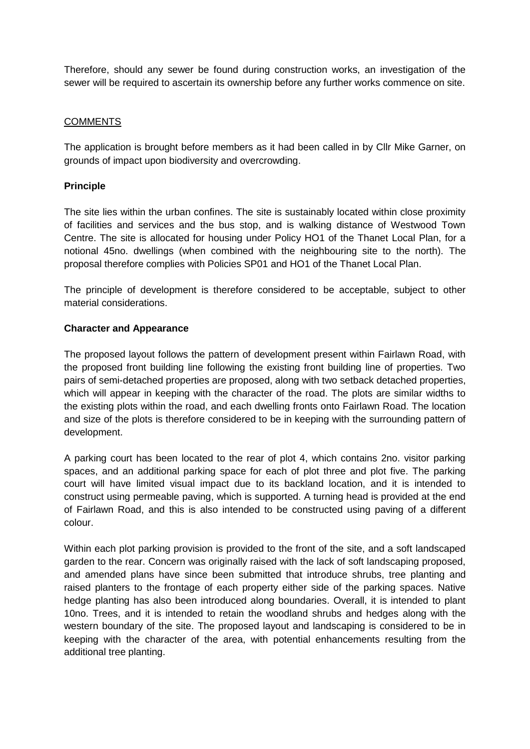Therefore, should any sewer be found during construction works, an investigation of the sewer will be required to ascertain its ownership before any further works commence on site.

# **COMMENTS**

The application is brought before members as it had been called in by Cllr Mike Garner, on grounds of impact upon biodiversity and overcrowding.

# **Principle**

The site lies within the urban confines. The site is sustainably located within close proximity of facilities and services and the bus stop, and is walking distance of Westwood Town Centre. The site is allocated for housing under Policy HO1 of the Thanet Local Plan, for a notional 45no. dwellings (when combined with the neighbouring site to the north). The proposal therefore complies with Policies SP01 and HO1 of the Thanet Local Plan.

The principle of development is therefore considered to be acceptable, subject to other material considerations.

# **Character and Appearance**

The proposed layout follows the pattern of development present within Fairlawn Road, with the proposed front building line following the existing front building line of properties. Two pairs of semi-detached properties are proposed, along with two setback detached properties, which will appear in keeping with the character of the road. The plots are similar widths to the existing plots within the road, and each dwelling fronts onto Fairlawn Road. The location and size of the plots is therefore considered to be in keeping with the surrounding pattern of development.

A parking court has been located to the rear of plot 4, which contains 2no. visitor parking spaces, and an additional parking space for each of plot three and plot five. The parking court will have limited visual impact due to its backland location, and it is intended to construct using permeable paving, which is supported. A turning head is provided at the end of Fairlawn Road, and this is also intended to be constructed using paving of a different colour.

Within each plot parking provision is provided to the front of the site, and a soft landscaped garden to the rear. Concern was originally raised with the lack of soft landscaping proposed, and amended plans have since been submitted that introduce shrubs, tree planting and raised planters to the frontage of each property either side of the parking spaces. Native hedge planting has also been introduced along boundaries. Overall, it is intended to plant 10no. Trees, and it is intended to retain the woodland shrubs and hedges along with the western boundary of the site. The proposed layout and landscaping is considered to be in keeping with the character of the area, with potential enhancements resulting from the additional tree planting.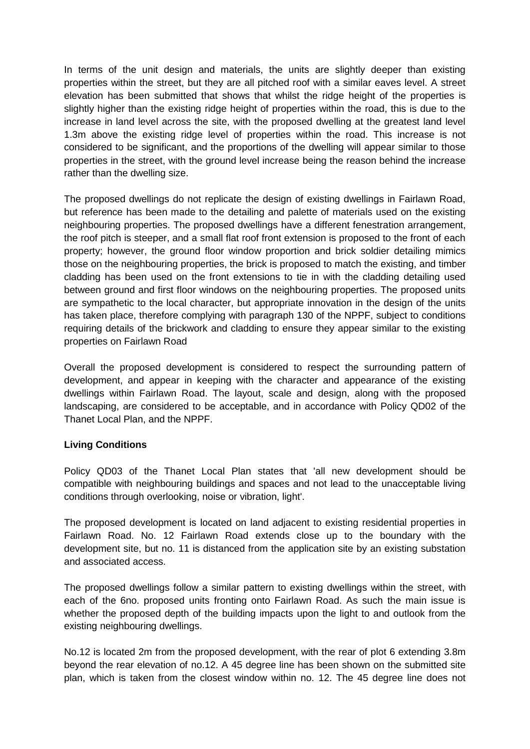In terms of the unit design and materials, the units are slightly deeper than existing properties within the street, but they are all pitched roof with a similar eaves level. A street elevation has been submitted that shows that whilst the ridge height of the properties is slightly higher than the existing ridge height of properties within the road, this is due to the increase in land level across the site, with the proposed dwelling at the greatest land level 1.3m above the existing ridge level of properties within the road. This increase is not considered to be significant, and the proportions of the dwelling will appear similar to those properties in the street, with the ground level increase being the reason behind the increase rather than the dwelling size.

The proposed dwellings do not replicate the design of existing dwellings in Fairlawn Road, but reference has been made to the detailing and palette of materials used on the existing neighbouring properties. The proposed dwellings have a different fenestration arrangement, the roof pitch is steeper, and a small flat roof front extension is proposed to the front of each property; however, the ground floor window proportion and brick soldier detailing mimics those on the neighbouring properties, the brick is proposed to match the existing, and timber cladding has been used on the front extensions to tie in with the cladding detailing used between ground and first floor windows on the neighbouring properties. The proposed units are sympathetic to the local character, but appropriate innovation in the design of the units has taken place, therefore complying with paragraph 130 of the NPPF, subject to conditions requiring details of the brickwork and cladding to ensure they appear similar to the existing properties on Fairlawn Road

Overall the proposed development is considered to respect the surrounding pattern of development, and appear in keeping with the character and appearance of the existing dwellings within Fairlawn Road. The layout, scale and design, along with the proposed landscaping, are considered to be acceptable, and in accordance with Policy QD02 of the Thanet Local Plan, and the NPPF.

# **Living Conditions**

Policy QD03 of the Thanet Local Plan states that 'all new development should be compatible with neighbouring buildings and spaces and not lead to the unacceptable living conditions through overlooking, noise or vibration, light'.

The proposed development is located on land adjacent to existing residential properties in Fairlawn Road. No. 12 Fairlawn Road extends close up to the boundary with the development site, but no. 11 is distanced from the application site by an existing substation and associated access.

The proposed dwellings follow a similar pattern to existing dwellings within the street, with each of the 6no. proposed units fronting onto Fairlawn Road. As such the main issue is whether the proposed depth of the building impacts upon the light to and outlook from the existing neighbouring dwellings.

No.12 is located 2m from the proposed development, with the rear of plot 6 extending 3.8m beyond the rear elevation of no.12. A 45 degree line has been shown on the submitted site plan, which is taken from the closest window within no. 12. The 45 degree line does not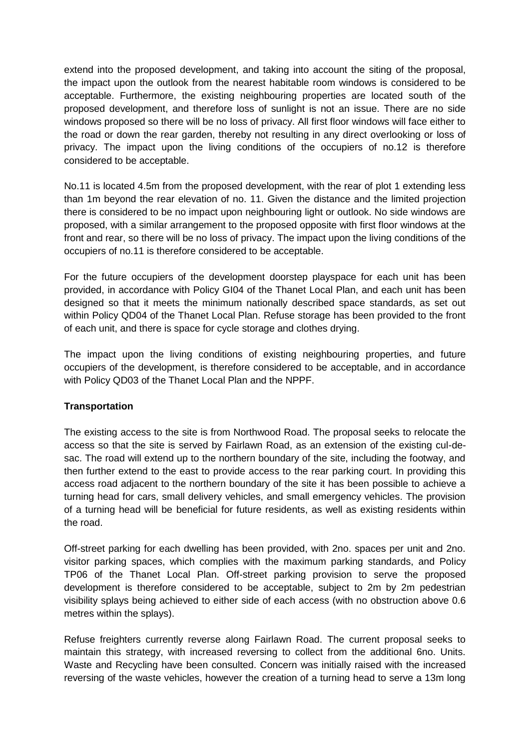extend into the proposed development, and taking into account the siting of the proposal, the impact upon the outlook from the nearest habitable room windows is considered to be acceptable. Furthermore, the existing neighbouring properties are located south of the proposed development, and therefore loss of sunlight is not an issue. There are no side windows proposed so there will be no loss of privacy. All first floor windows will face either to the road or down the rear garden, thereby not resulting in any direct overlooking or loss of privacy. The impact upon the living conditions of the occupiers of no.12 is therefore considered to be acceptable.

No.11 is located 4.5m from the proposed development, with the rear of plot 1 extending less than 1m beyond the rear elevation of no. 11. Given the distance and the limited projection there is considered to be no impact upon neighbouring light or outlook. No side windows are proposed, with a similar arrangement to the proposed opposite with first floor windows at the front and rear, so there will be no loss of privacy. The impact upon the living conditions of the occupiers of no.11 is therefore considered to be acceptable.

For the future occupiers of the development doorstep playspace for each unit has been provided, in accordance with Policy GI04 of the Thanet Local Plan, and each unit has been designed so that it meets the minimum nationally described space standards, as set out within Policy QD04 of the Thanet Local Plan. Refuse storage has been provided to the front of each unit, and there is space for cycle storage and clothes drying.

The impact upon the living conditions of existing neighbouring properties, and future occupiers of the development, is therefore considered to be acceptable, and in accordance with Policy QD03 of the Thanet Local Plan and the NPPF.

# **Transportation**

The existing access to the site is from Northwood Road. The proposal seeks to relocate the access so that the site is served by Fairlawn Road, as an extension of the existing cul-desac. The road will extend up to the northern boundary of the site, including the footway, and then further extend to the east to provide access to the rear parking court. In providing this access road adjacent to the northern boundary of the site it has been possible to achieve a turning head for cars, small delivery vehicles, and small emergency vehicles. The provision of a turning head will be beneficial for future residents, as well as existing residents within the road.

Off-street parking for each dwelling has been provided, with 2no. spaces per unit and 2no. visitor parking spaces, which complies with the maximum parking standards, and Policy TP06 of the Thanet Local Plan. Off-street parking provision to serve the proposed development is therefore considered to be acceptable, subject to 2m by 2m pedestrian visibility splays being achieved to either side of each access (with no obstruction above 0.6 metres within the splays).

Refuse freighters currently reverse along Fairlawn Road. The current proposal seeks to maintain this strategy, with increased reversing to collect from the additional 6no. Units. Waste and Recycling have been consulted. Concern was initially raised with the increased reversing of the waste vehicles, however the creation of a turning head to serve a 13m long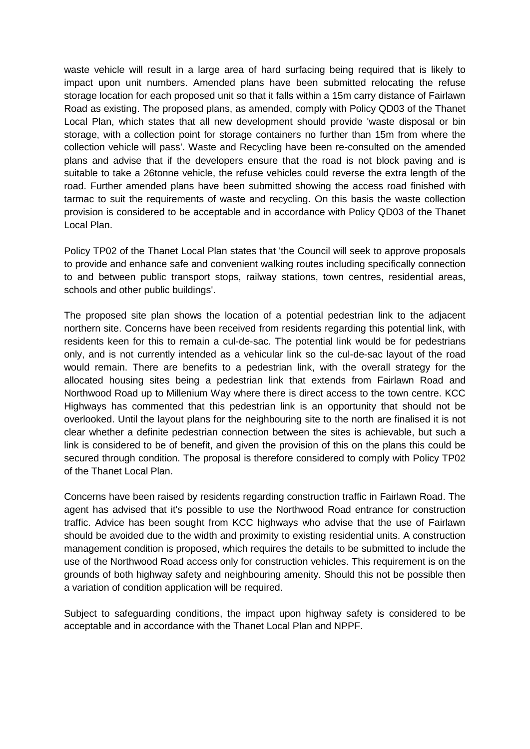waste vehicle will result in a large area of hard surfacing being required that is likely to impact upon unit numbers. Amended plans have been submitted relocating the refuse storage location for each proposed unit so that it falls within a 15m carry distance of Fairlawn Road as existing. The proposed plans, as amended, comply with Policy QD03 of the Thanet Local Plan, which states that all new development should provide 'waste disposal or bin storage, with a collection point for storage containers no further than 15m from where the collection vehicle will pass'. Waste and Recycling have been re-consulted on the amended plans and advise that if the developers ensure that the road is not block paving and is suitable to take a 26tonne vehicle, the refuse vehicles could reverse the extra length of the road. Further amended plans have been submitted showing the access road finished with tarmac to suit the requirements of waste and recycling. On this basis the waste collection provision is considered to be acceptable and in accordance with Policy QD03 of the Thanet Local Plan.

Policy TP02 of the Thanet Local Plan states that 'the Council will seek to approve proposals to provide and enhance safe and convenient walking routes including specifically connection to and between public transport stops, railway stations, town centres, residential areas, schools and other public buildings'.

The proposed site plan shows the location of a potential pedestrian link to the adjacent northern site. Concerns have been received from residents regarding this potential link, with residents keen for this to remain a cul-de-sac. The potential link would be for pedestrians only, and is not currently intended as a vehicular link so the cul-de-sac layout of the road would remain. There are benefits to a pedestrian link, with the overall strategy for the allocated housing sites being a pedestrian link that extends from Fairlawn Road and Northwood Road up to Millenium Way where there is direct access to the town centre. KCC Highways has commented that this pedestrian link is an opportunity that should not be overlooked. Until the layout plans for the neighbouring site to the north are finalised it is not clear whether a definite pedestrian connection between the sites is achievable, but such a link is considered to be of benefit, and given the provision of this on the plans this could be secured through condition. The proposal is therefore considered to comply with Policy TP02 of the Thanet Local Plan.

Concerns have been raised by residents regarding construction traffic in Fairlawn Road. The agent has advised that it's possible to use the Northwood Road entrance for construction traffic. Advice has been sought from KCC highways who advise that the use of Fairlawn should be avoided due to the width and proximity to existing residential units. A construction management condition is proposed, which requires the details to be submitted to include the use of the Northwood Road access only for construction vehicles. This requirement is on the grounds of both highway safety and neighbouring amenity. Should this not be possible then a variation of condition application will be required.

Subject to safeguarding conditions, the impact upon highway safety is considered to be acceptable and in accordance with the Thanet Local Plan and NPPF.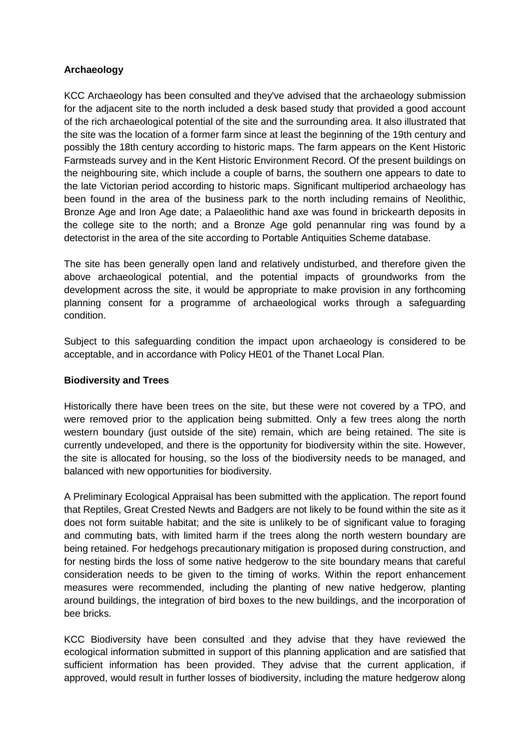# **Archaeology**

KCC Archaeology has been consulted and they've advised that the archaeology submission for the adjacent site to the north included a desk based study that provided a good account of the rich archaeological potential of the site and the surrounding area. It also illustrated that the site was the location of a former farm since at least the beginning of the 19th century and possibly the 18th century according to historic maps. The farm appears on the Kent Historic Farmsteads survey and in the Kent Historic Environment Record. Of the present buildings on the neighbouring site, which include a couple of barns, the southern one appears to date to the late Victorian period according to historic maps. Significant multiperiod archaeology has been found in the area of the business park to the north including remains of Neolithic, Bronze Age and Iron Age date; a Palaeolithic hand axe was found in brickearth deposits in the college site to the north; and a Bronze Age gold penannular ring was found by a detectorist in the area of the site according to Portable Antiquities Scheme database.

The site has been generally open land and relatively undisturbed, and therefore given the above archaeological potential, and the potential impacts of groundworks from the development across the site, it would be appropriate to make provision in any forthcoming planning consent for a programme of archaeological works through a safeguarding condition.

Subject to this safeguarding condition the impact upon archaeology is considered to be acceptable, and in accordance with Policy HE01 of the Thanet Local Plan.

# **Biodiversity and Trees**

Historically there have been trees on the site, but these were not covered by a TPO, and were removed prior to the application being submitted. Only a few trees along the north western boundary (just outside of the site) remain, which are being retained. The site is currently undeveloped, and there is the opportunity for biodiversity within the site. However, the site is allocated for housing, so the loss of the biodiversity needs to be managed, and balanced with new opportunities for biodiversity.

A Preliminary Ecological Appraisal has been submitted with the application. The report found that Reptiles, Great Crested Newts and Badgers are not likely to be found within the site as it does not form suitable habitat; and the site is unlikely to be of significant value to foraging and commuting bats, with limited harm if the trees along the north western boundary are being retained. For hedgehogs precautionary mitigation is proposed during construction, and for nesting birds the loss of some native hedgerow to the site boundary means that careful consideration needs to be given to the timing of works. Within the report enhancement measures were recommended, including the planting of new native hedgerow, planting around buildings, the integration of bird boxes to the new buildings, and the incorporation of bee bricks.

KCC Biodiversity have been consulted and they advise that they have reviewed the ecological information submitted in support of this planning application and are satisfied that sufficient information has been provided. They advise that the current application, if approved, would result in further losses of biodiversity, including the mature hedgerow along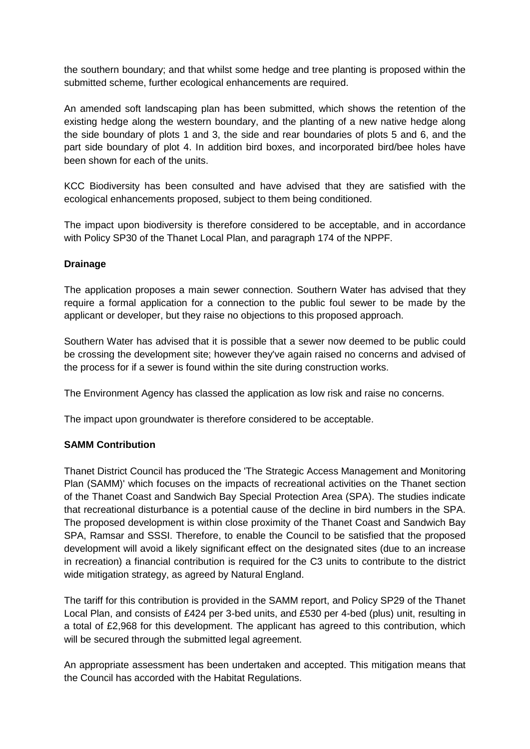the southern boundary; and that whilst some hedge and tree planting is proposed within the submitted scheme, further ecological enhancements are required.

An amended soft landscaping plan has been submitted, which shows the retention of the existing hedge along the western boundary, and the planting of a new native hedge along the side boundary of plots 1 and 3, the side and rear boundaries of plots 5 and 6, and the part side boundary of plot 4. In addition bird boxes, and incorporated bird/bee holes have been shown for each of the units.

KCC Biodiversity has been consulted and have advised that they are satisfied with the ecological enhancements proposed, subject to them being conditioned.

The impact upon biodiversity is therefore considered to be acceptable, and in accordance with Policy SP30 of the Thanet Local Plan, and paragraph 174 of the NPPF.

# **Drainage**

The application proposes a main sewer connection. Southern Water has advised that they require a formal application for a connection to the public foul sewer to be made by the applicant or developer, but they raise no objections to this proposed approach.

Southern Water has advised that it is possible that a sewer now deemed to be public could be crossing the development site; however they've again raised no concerns and advised of the process for if a sewer is found within the site during construction works.

The Environment Agency has classed the application as low risk and raise no concerns.

The impact upon groundwater is therefore considered to be acceptable.

# **SAMM Contribution**

Thanet District Council has produced the 'The Strategic Access Management and Monitoring Plan (SAMM)' which focuses on the impacts of recreational activities on the Thanet section of the Thanet Coast and Sandwich Bay Special Protection Area (SPA). The studies indicate that recreational disturbance is a potential cause of the decline in bird numbers in the SPA. The proposed development is within close proximity of the Thanet Coast and Sandwich Bay SPA, Ramsar and SSSI. Therefore, to enable the Council to be satisfied that the proposed development will avoid a likely significant effect on the designated sites (due to an increase in recreation) a financial contribution is required for the C3 units to contribute to the district wide mitigation strategy, as agreed by Natural England.

The tariff for this contribution is provided in the SAMM report, and Policy SP29 of the Thanet Local Plan, and consists of £424 per 3-bed units, and £530 per 4-bed (plus) unit, resulting in a total of £2,968 for this development. The applicant has agreed to this contribution, which will be secured through the submitted legal agreement.

An appropriate assessment has been undertaken and accepted. This mitigation means that the Council has accorded with the Habitat Regulations.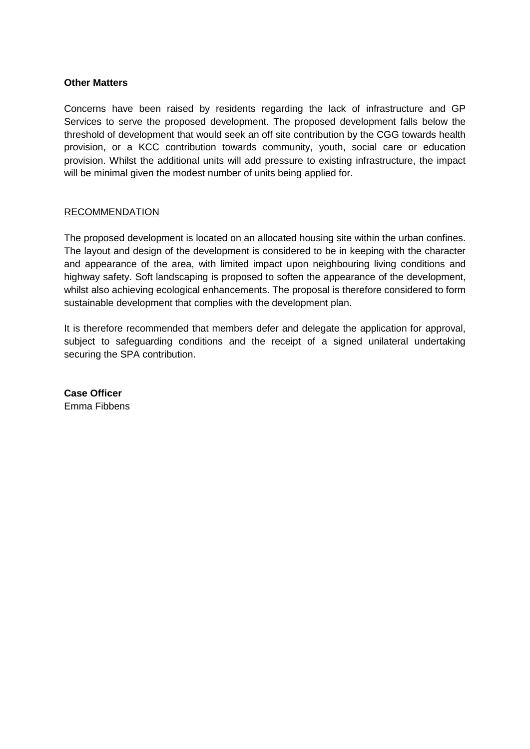#### **Other Matters**

Concerns have been raised by residents regarding the lack of infrastructure and GP Services to serve the proposed development. The proposed development falls below the threshold of development that would seek an off site contribution by the CGG towards health provision, or a KCC contribution towards community, youth, social care or education provision. Whilst the additional units will add pressure to existing infrastructure, the impact will be minimal given the modest number of units being applied for.

# RECOMMENDATION

The proposed development is located on an allocated housing site within the urban confines. The layout and design of the development is considered to be in keeping with the character and appearance of the area, with limited impact upon neighbouring living conditions and highway safety. Soft landscaping is proposed to soften the appearance of the development, whilst also achieving ecological enhancements. The proposal is therefore considered to form sustainable development that complies with the development plan.

It is therefore recommended that members defer and delegate the application for approval, subject to safeguarding conditions and the receipt of a signed unilateral undertaking securing the SPA contribution.

**Case Officer** Emma Fibbens